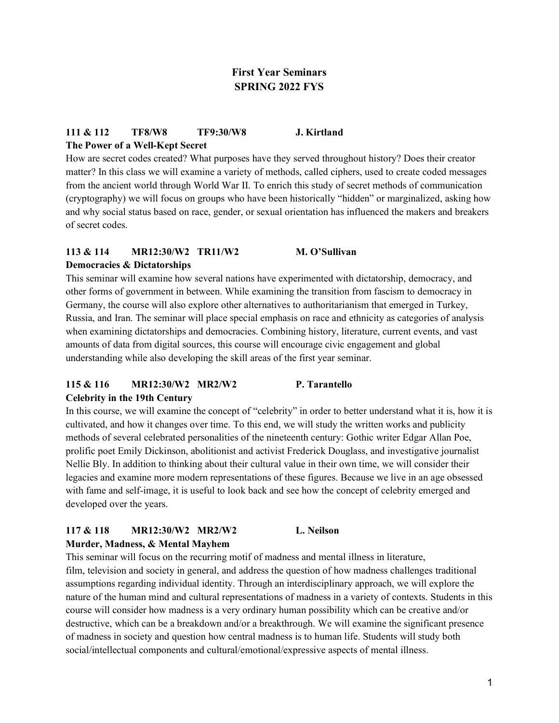# **First Year Seminars SPRING 2022 FYS**

### **111 & 112 TF8/W8 TF9:30/W8 J. Kirtland The Power of a Well-Kept Secret**

How are secret codes created? What purposes have they served throughout history? Does their creator matter? In this class we will examine a variety of methods, called ciphers, used to create coded messages from the ancient world through World War II. To enrich this study of secret methods of communication (cryptography) we will focus on groups who have been historically "hidden" or marginalized, asking how and why social status based on race, gender, or sexual orientation has influenced the makers and breakers of secret codes.

### **113 & 114 MR12:30/W2 TR11/W2 M. O'Sullivan Democracies & Dictatorships**

This seminar will examine how several nations have experimented with dictatorship, democracy, and other forms of government in between. While examining the transition from fascism to democracy in Germany, the course will also explore other alternatives to authoritarianism that emerged in Turkey, Russia, and Iran. The seminar will place special emphasis on race and ethnicity as categories of analysis when examining dictatorships and democracies. Combining history, literature, current events, and vast amounts of data from digital sources, this course will encourage civic engagement and global understanding while also developing the skill areas of the first year seminar.

# **115 & 116 MR12:30/W2 MR2/W2 P. Tarantello**

### **Celebrity in the 19th Century**

In this course, we will examine the concept of "celebrity" in order to better understand what it is, how it is cultivated, and how it changes over time. To this end, we will study the written works and publicity methods of several celebrated personalities of the nineteenth century: Gothic writer Edgar Allan Poe, prolific poet Emily Dickinson, abolitionist and activist Frederick Douglass, and investigative journalist Nellie Bly. In addition to thinking about their cultural value in their own time, we will consider their legacies and examine more modern representations of these figures. Because we live in an age obsessed with fame and self-image, it is useful to look back and see how the concept of celebrity emerged and developed over the years.

# **117 & 118 MR12:30/W2 MR2/W2 L. Neilson**

**Murder, Madness, & Mental Mayhem**

This seminar will focus on the recurring motif of madness and mental illness in literature, film, television and society in general, and address the question of how madness challenges traditional assumptions regarding individual identity. Through an interdisciplinary approach, we will explore the nature of the human mind and cultural representations of madness in a variety of contexts. Students in this course will consider how madness is a very ordinary human possibility which can be creative and/or destructive, which can be a breakdown and/or a breakthrough. We will examine the significant presence of madness in society and question how central madness is to human life. Students will study both social/intellectual components and cultural/emotional/expressive aspects of mental illness.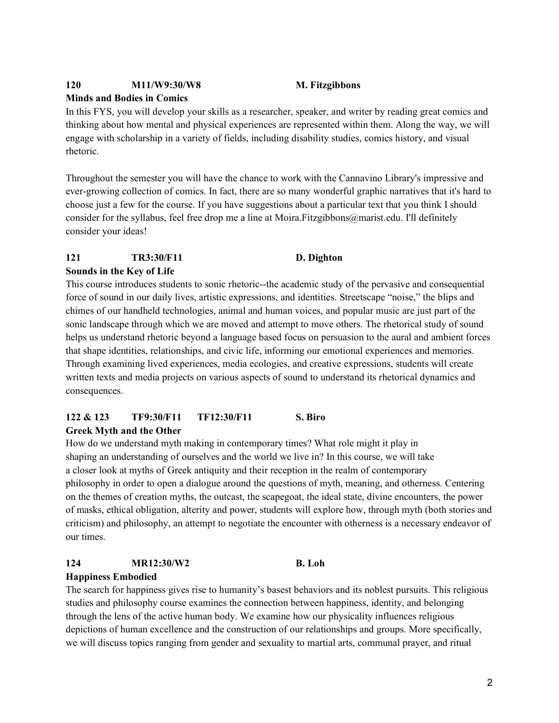### **120 M11/W9:30/W8 M. Fitzgibbons**

### **Minds and Bodies in Comics**

In this FYS, you will develop your skills as a researcher, speaker, and writer by reading great comics and thinking about how mental and physical experiences are represented within them. Along the way, we will engage with scholarship in a variety of fields, including disability studies, comics history, and visual rhetoric.

Throughout the semester you will have the chance to work with the Cannavino Library's impressive and ever-growing collection of comics. In fact, there are so many wonderful graphic narratives that it's hard to choose just a few for the course. If you have suggestions about a particular text that you think I should consider for the syllabus, feel free drop me a line at Moira.Fitzgibbons@marist.edu. I'll definitely consider your ideas!

### **121 TR3:30/F11 D. Dighton**

### **Sounds in the Key of Life**

This course introduces students to sonic rhetoric--the academic study of the pervasive and consequential force of sound in our daily lives, artistic expressions, and identities. Streetscape "noise," the blips and chimes of our handheld technologies, animal and human voices, and popular music are just part of the sonic landscape through which we are moved and attempt to move others. The rhetorical study of sound helps us understand rhetoric beyond a language based focus on persuasion to the aural and ambient forces that shape identities, relationships, and civic life, informing our emotional experiences and memories. Through examining lived experiences, media ecologies, and creative expressions, students will create written texts and media projects on various aspects of sound to understand its rhetorical dynamics and consequences.

### **122 & 123 TF9:30/F11 TF12:30/F11 S. Biro Greek Myth and the Other**

How do we understand myth making in contemporary times? What role might it play in shaping an understanding of ourselves and the world we live in? In this course, we will take a closer look at myths of Greek antiquity and their reception in the realm of contemporary philosophy in order to open a dialogue around the questions of myth, meaning, and otherness. Centering on the themes of creation myths, the outcast, the scapegoat, the ideal state, divine encounters, the power of masks, ethical obligation, alterity and power, students will explore how, through myth (both stories and criticism) and philosophy, an attempt to negotiate the encounter with otherness is a necessary endeavor of our times.

# **124 MR12:30/W2 B. Loh**

### **Happiness Embodied**

The search for happiness gives rise to humanity's basest behaviors and its noblest pursuits. This religious studies and philosophy course examines the connection between happiness, identity, and belonging through the lens of the active human body. We examine how our physicality influences religious depictions of human excellence and the construction of our relationships and groups. More specifically, we will discuss topics ranging from gender and sexuality to martial arts, communal prayer, and ritual

### 2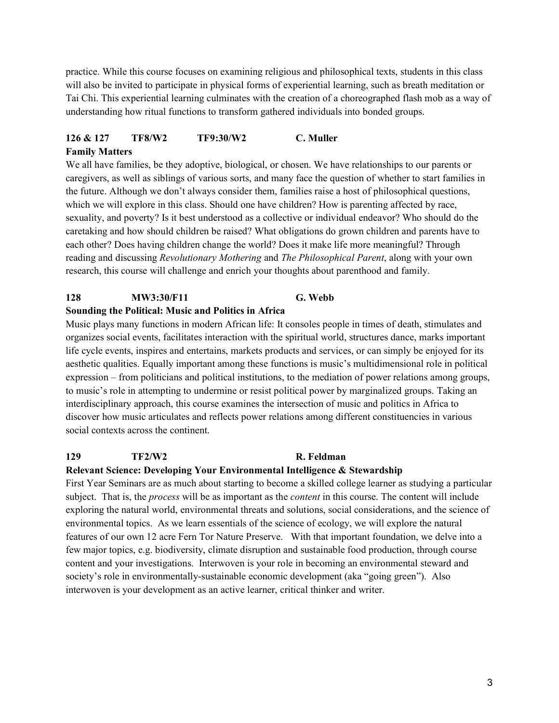practice. While this course focuses on examining religious and philosophical texts, students in this class will also be invited to participate in physical forms of experiential learning, such as breath meditation or Tai Chi. This experiential learning culminates with the creation of a choreographed flash mob as a way of understanding how ritual functions to transform gathered individuals into bonded groups.

# **126 & 127 TF8/W2 TF9:30/W2 C. Muller Family Matters**

We all have families, be they adoptive, biological, or chosen. We have relationships to our parents or caregivers, as well as siblings of various sorts, and many face the question of whether to start families in the future. Although we don't always consider them, families raise a host of philosophical questions, which we will explore in this class. Should one have children? How is parenting affected by race, sexuality, and poverty? Is it best understood as a collective or individual endeavor? Who should do the caretaking and how should children be raised? What obligations do grown children and parents have to each other? Does having children change the world? Does it make life more meaningful? Through reading and discussing *Revolutionary Mothering* and *The Philosophical Parent*, along with your own research, this course will challenge and enrich your thoughts about parenthood and family.

# **128 MW3:30/F11 G. Webb**

### **Sounding the Political: Music and Politics in Africa**

Music plays many functions in modern African life: It consoles people in times of death, stimulates and organizes social events, facilitates interaction with the spiritual world, structures dance, marks important life cycle events, inspires and entertains, markets products and services, or can simply be enjoyed for its aesthetic qualities. Equally important among these functions is music's multidimensional role in political expression – from politicians and political institutions, to the mediation of power relations among groups, to music's role in attempting to undermine or resist political power by marginalized groups. Taking an interdisciplinary approach, this course examines the intersection of music and politics in Africa to discover how music articulates and reflects power relations among different constituencies in various social contexts across the continent.

### **129 TF2/W2 R. Feldman**

### **Relevant Science: Developing Your Environmental Intelligence & Stewardship**

First Year Seminars are as much about starting to become a skilled college learner as studying a particular subject. That is, the *process* will be as important as the *content* in this course. The content will include exploring the natural world, environmental threats and solutions, social considerations, and the science of environmental topics. As we learn essentials of the science of ecology, we will explore the natural features of our own 12 acre Fern Tor Nature Preserve. With that important foundation, we delve into a few major topics, e.g. biodiversity, climate disruption and sustainable food production, through course content and your investigations. Interwoven is your role in becoming an environmental steward and society's role in environmentally-sustainable economic development (aka "going green"). Also interwoven is your development as an active learner, critical thinker and writer.